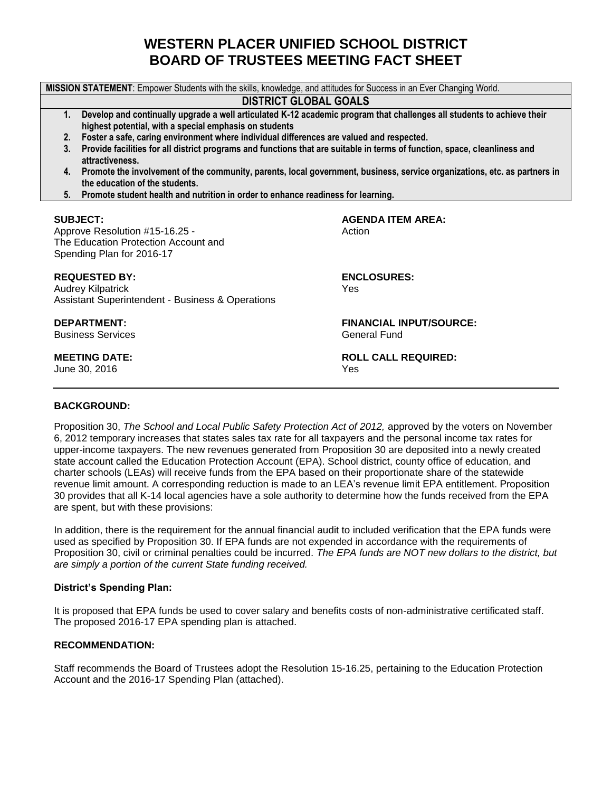# **WESTERN PLACER UNIFIED SCHOOL DISTRICT BOARD OF TRUSTEES MEETING FACT SHEET**

**MISSION STATEMENT**: Empower Students with the skills, knowledge, and attitudes for Success in an Ever Changing World. **DISTRICT GLOBAL GOALS 1. Develop and continually upgrade a well articulated K-12 academic program that challenges all students to achieve their highest potential, with a special emphasis on students 2. Foster a safe, caring environment where individual differences are valued and respected. 3. Provide facilities for all district programs and functions that are suitable in terms of function, space, cleanliness and attractiveness. 4. Promote the involvement of the community, parents, local government, business, service organizations, etc. as partners in the education of the students. 5. Promote student health and nutrition in order to enhance readiness for learning. SUBJECT: AGENDA ITEM AREA:** Approve Resolution #15-16.25 - Action The Education Protection Account and Spending Plan for 2016-17 **REQUESTED BY: ENCLOSURES:** Audrey Kilpatrick Yes Assistant Superintendent - Business & Operations **DEPARTMENT: FINANCIAL INPUT/SOURCE: Business Services** Georgia Communications of the General Fund **MEETING DATE: ROLL CALL REQUIRED:** June 30, 2016 **Yes** 

#### **BACKGROUND:**

Proposition 30, *The School and Local Public Safety Protection Act of 2012*, approved by the voters on November 6, 2012 temporary increases that states sales tax rate for all taxpayers and the personal income tax rates for upper-income taxpayers. The new revenues generated from Proposition 30 are deposited into a newly created state account called the Education Protection Account (EPA). School district, county office of education, and charter schools (LEAs) will receive funds from the EPA based on their proportionate share of the statewide revenue limit amount. A corresponding reduction is made to an LEA's revenue limit EPA entitlement. Proposition 30 provides that all K-14 local agencies have a sole authority to determine how the funds received from the EPA are spent, but with these provisions:

In addition, there is the requirement for the annual financial audit to included verification that the EPA funds were used as specified by Proposition 30. If EPA funds are not expended in accordance with the requirements of Proposition 30, civil or criminal penalties could be incurred. *The EPA funds are NOT new dollars to the district, but are simply a portion of the current State funding received.*

#### **District's Spending Plan:**

It is proposed that EPA funds be used to cover salary and benefits costs of non-administrative certificated staff. The proposed 2016-17 EPA spending plan is attached.

#### **RECOMMENDATION:**

Staff recommends the Board of Trustees adopt the Resolution 15-16.25, pertaining to the Education Protection Account and the 2016-17 Spending Plan (attached).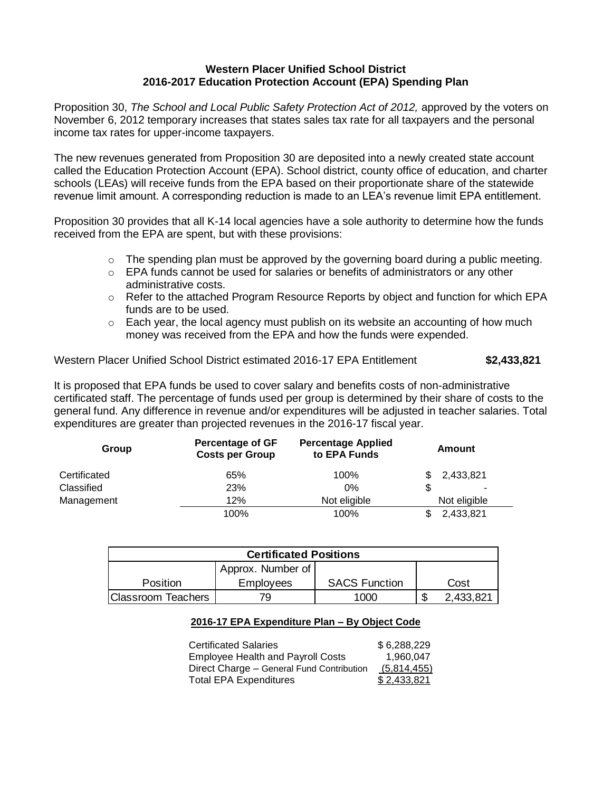## **Western Placer Unified School District 2016-2017 Education Protection Account (EPA) Spending Plan**

Proposition 30, *The School and Local Public Safety Protection Act of 2012*, approved by the voters on November 6, 2012 temporary increases that states sales tax rate for all taxpayers and the personal income tax rates for upper-income taxpayers.

The new revenues generated from Proposition 30 are deposited into a newly created state account called the Education Protection Account (EPA). School district, county office of education, and charter schools (LEAs) will receive funds from the EPA based on their proportionate share of the statewide revenue limit amount. A corresponding reduction is made to an LEA's revenue limit EPA entitlement.

Proposition 30 provides that all K-14 local agencies have a sole authority to determine how the funds received from the EPA are spent, but with these provisions:

- $\circ$  The spending plan must be approved by the governing board during a public meeting.
- $\circ$  EPA funds cannot be used for salaries or benefits of administrators or any other administrative costs.
- o Refer to the attached Program Resource Reports by object and function for which EPA funds are to be used.
- $\circ$  Each year, the local agency must publish on its website an accounting of how much money was received from the EPA and how the funds were expended.

Western Placer Unified School District estimated 2016-17 EPA Entitlement **\$2,433,821**

It is proposed that EPA funds be used to cover salary and benefits costs of non-administrative certificated staff. The percentage of funds used per group is determined by their share of costs to the general fund. Any difference in revenue and/or expenditures will be adjusted in teacher salaries. Total expenditures are greater than projected revenues in the 2016-17 fiscal year.

| Group        | <b>Percentage of GF</b><br><b>Costs per Group</b> | <b>Percentage Applied</b><br>to EPA Funds | Amount       |
|--------------|---------------------------------------------------|-------------------------------------------|--------------|
| Certificated | 65%                                               | 100%                                      | 2,433,821    |
| Classified   | 23%                                               | 0%                                        |              |
| Management   | 12%                                               | Not eligible                              | Not eligible |
|              | 100%                                              | 100%                                      | 2,433,821    |

| <b>Certificated Positions</b> |                   |                      |        |           |  |  |
|-------------------------------|-------------------|----------------------|--------|-----------|--|--|
|                               | Approx. Number of |                      |        |           |  |  |
| Position                      | Employees         | <b>SACS Function</b> |        | Cost      |  |  |
| <b>Classroom Teachers</b>     | 79                | 1000                 | Φ<br>Ф | 2,433,821 |  |  |

## **2016-17 EPA Expenditure Plan – By Object Code**

| <b>Certificated Salaries</b>              | \$6,288,229 |
|-------------------------------------------|-------------|
| <b>Employee Health and Payroll Costs</b>  | 1.960.047   |
| Direct Charge – General Fund Contribution | (5,814,455) |
| <b>Total EPA Expenditures</b>             | \$2,433,821 |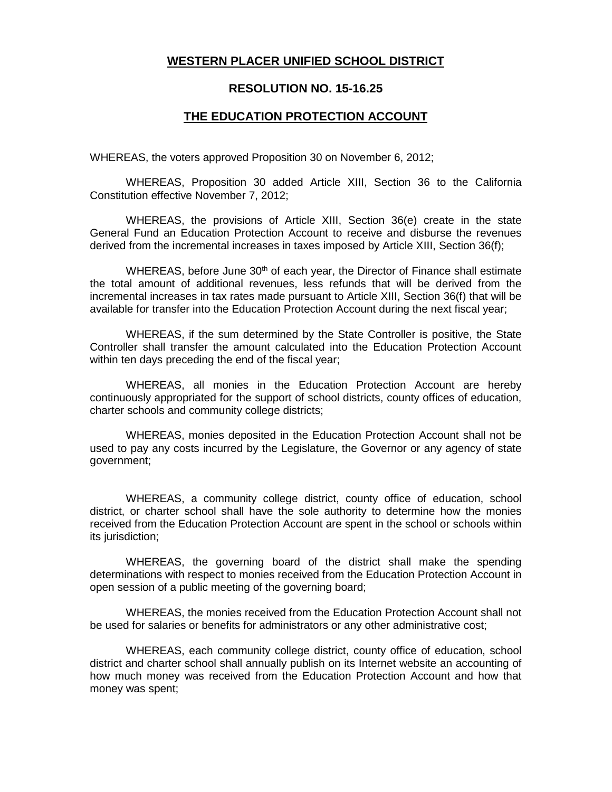## **WESTERN PLACER UNIFIED SCHOOL DISTRICT**

## **RESOLUTION NO. 15-16.25**

## **THE EDUCATION PROTECTION ACCOUNT**

WHEREAS, the voters approved Proposition 30 on November 6, 2012;

WHEREAS, Proposition 30 added Article XIII, Section 36 to the California Constitution effective November 7, 2012;

WHEREAS, the provisions of Article XIII, Section 36(e) create in the state General Fund an Education Protection Account to receive and disburse the revenues derived from the incremental increases in taxes imposed by Article XIII, Section 36(f);

WHEREAS, before June  $30<sup>th</sup>$  of each year, the Director of Finance shall estimate the total amount of additional revenues, less refunds that will be derived from the incremental increases in tax rates made pursuant to Article XIII, Section 36(f) that will be available for transfer into the Education Protection Account during the next fiscal year;

WHEREAS, if the sum determined by the State Controller is positive, the State Controller shall transfer the amount calculated into the Education Protection Account within ten days preceding the end of the fiscal year;

WHEREAS, all monies in the Education Protection Account are hereby continuously appropriated for the support of school districts, county offices of education, charter schools and community college districts;

WHEREAS, monies deposited in the Education Protection Account shall not be used to pay any costs incurred by the Legislature, the Governor or any agency of state government;

WHEREAS, a community college district, county office of education, school district, or charter school shall have the sole authority to determine how the monies received from the Education Protection Account are spent in the school or schools within its jurisdiction;

WHEREAS, the governing board of the district shall make the spending determinations with respect to monies received from the Education Protection Account in open session of a public meeting of the governing board;

WHEREAS, the monies received from the Education Protection Account shall not be used for salaries or benefits for administrators or any other administrative cost;

WHEREAS, each community college district, county office of education, school district and charter school shall annually publish on its Internet website an accounting of how much money was received from the Education Protection Account and how that money was spent;